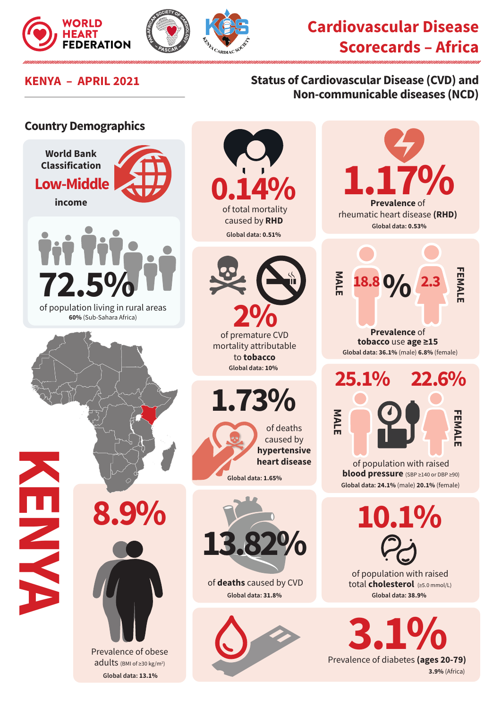



## **Cardiovascular Disease Scorecards – Africa**

## **KENYA – APRIL 2021 Status of Cardiovascular Disease (CVD) and Non-communicable diseases (NCD)**

## **Country Demographics**





mortality attributable to **tobacco Global data: 10%** 

**1.73%**





of **deaths** caused by CVD **Global data: 31.8%**





**10.1%**

of population with raised total **cholesterol** (≥5.0 mmol/L) **Global data: 38.9%**

**3.1% 3.9%** (Africa)